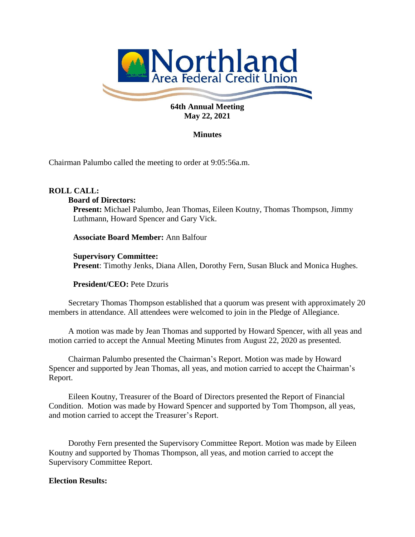

# **May 22, 2021**

# **Minutes**

Chairman Palumbo called the meeting to order at 9:05:56a.m.

# **ROLL CALL:**

#### **Board of Directors:**

**Present:** Michael Palumbo, Jean Thomas, Eileen Koutny, Thomas Thompson, Jimmy Luthmann, Howard Spencer and Gary Vick.

**Associate Board Member:** Ann Balfour

### **Supervisory Committee:**

**Present**: Timothy Jenks, Diana Allen, Dorothy Fern, Susan Bluck and Monica Hughes.

**President/CEO:** Pete Dzuris

Secretary Thomas Thompson established that a quorum was present with approximately 20 members in attendance. All attendees were welcomed to join in the Pledge of Allegiance.

A motion was made by Jean Thomas and supported by Howard Spencer, with all yeas and motion carried to accept the Annual Meeting Minutes from August 22, 2020 as presented.

Chairman Palumbo presented the Chairman's Report. Motion was made by Howard Spencer and supported by Jean Thomas, all yeas, and motion carried to accept the Chairman's Report.

Eileen Koutny, Treasurer of the Board of Directors presented the Report of Financial Condition. Motion was made by Howard Spencer and supported by Tom Thompson, all yeas, and motion carried to accept the Treasurer's Report.

Dorothy Fern presented the Supervisory Committee Report. Motion was made by Eileen Koutny and supported by Thomas Thompson, all yeas, and motion carried to accept the Supervisory Committee Report.

# **Election Results:**